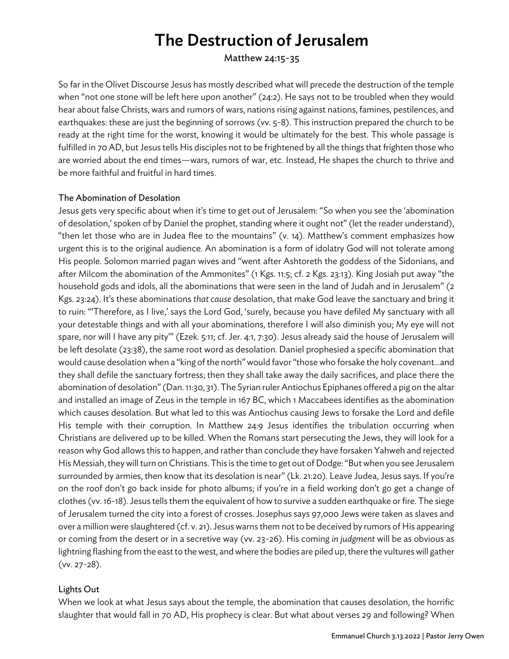# The Destruction of Jerusalem

Matthew 24:15-35

So far in the Olivet Discourse Jesus has mostly described what will precede the destruction of the temple when "not one stone will be left here upon another" (24:2). He says not to be troubled when they would hear about false Christs, wars and rumors of wars, nations rising against nations, famines, pestilences, and earthquakes: these are just the beginning of sorrows (vv. 5-8). This instruction prepared the church to be ready at the right time for the worst, knowing it would be ultimately for the best. This whole passage is fulfilled in 70 AD, but Jesus tells His disciples not to be frightened by all the things that frighten those who are worried about the end times—wars, rumors of war, etc. Instead, He shapes the church to thrive and be more faithful and fruitful in hard times.

#### The Abomination of Desolation

Jesus gets very specific about when it's time to get out of Jerusalem: "So when you see the 'abomination of desolation,' spoken of by Daniel the prophet, standing where it ought not" (let the reader understand), "then let those who are in Judea flee to the mountains" (v. 14). Matthew's comment emphasizes how urgent this is to the original audience. An abomination is a form of idolatry God will not tolerate among His people. Solomon married pagan wives and "went after Ashtoreth the goddess of the Sidonians, and after Milcom the abomination of the Ammonites" (1 Kgs. 11:5; cf. 2 Kgs. 23:13). King Josiah put away "the household gods and idols, all the abominations that were seen in the land of Judah and in Jerusalem" (2 Kgs. 23:24). It's these abominations *that cause* desolation, that make God leave the sanctuary and bring it to ruin: "'Therefore, as I live,' says the Lord God, 'surely, because you have defiled My sanctuary with all your detestable things and with all your abominations, therefore I will also diminish you; My eye will not spare, nor will I have any pity'" (Ezek. 5:11; cf. Jer. 4:1, 7:30). Jesus already said the house of Jerusalem will be left desolate (23:38), the same root word as desolation. Daniel prophesied a specific abomination that would cause desolation when a "king of the north" would favor "those who forsake the holy covenant…and they shall defile the sanctuary fortress; then they shall take away the daily sacrifices, and place there the abomination of desolation" (Dan. 11:30, 31). The Syrian ruler Antiochus Epiphanes offered a pig on the altar and installed an image of Zeus in the temple in 167 BC, which 1 Maccabees identifies as the abomination which causes desolation. But what led to this was Antiochus causing Jews to forsake the Lord and defile His temple with their corruption. In Matthew 24:9 Jesus identifies the tribulation occurring when Christians are delivered up to be killed. When the Romans start persecuting the Jews, they will look for a reason why God allows this to happen, and rather than conclude they have forsaken Yahweh and rejected His Messiah, they will turn on Christians. This is the time to get out of Dodge: "But when you see Jerusalem surrounded by armies, then know that its desolation is near" (Lk. 21:20). Leave Judea, Jesus says. If you're on the roof don't go back inside for photo albums; if you're in a field working don't go get a change of clothes (vv. 16-18). Jesus tells them the equivalent of how to survive a sudden earthquake or fire. The siege of Jerusalem turned the city into a forest of crosses. Josephus says 97,000 Jews were taken as slaves and over a million were slaughtered (cf. v. 21). Jesus warns them not to be deceived by rumors of His appearing or coming from the desert or in a secretive way (vv. 23-26). His coming *in judgment* will be as obvious as lightning flashing from the east to the west, and where the bodies are piled up, there the vultures will gather (vv. 27-28).

#### Lights Out

When we look at what Jesus says about the temple, the abomination that causes desolation, the horrific slaughter that would fall in 70 AD, His prophecy is clear. But what about verses 29 and following? When